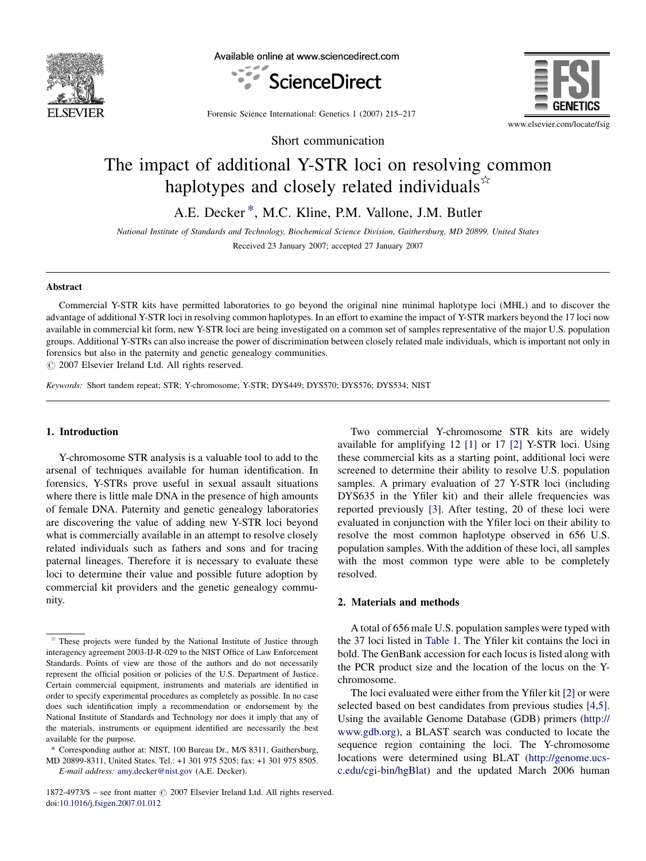

Available online at www.sciencedirect.com





Forensic Science International: Genetics 1 (2007) 215–217

Short communication

# The impact of additional Y-STR loci on resolving common haplotypes and closely related individuals $*$

A.E. Decker \*, M.C. Kline, P.M. Vallone, J.M. Butler

National Institute of Standards and Technology, Biochemical Science Division, Gaithersburg, MD 20899, United States Received 23 January 2007; accepted 27 January 2007

### Abstract

Commercial Y-STR kits have permitted laboratories to go beyond the original nine minimal haplotype loci (MHL) and to discover the advantage of additional Y-STR loci in resolving common haplotypes. In an effort to examine the impact of Y-STR markers beyond the 17 loci now available in commercial kit form, new Y-STR loci are being investigated on a common set of samples representative of the major U.S. population groups. Additional Y-STRs can also increase the power of discrimination between closely related male individuals, which is important not only in forensics but also in the paternity and genetic genealogy communities.

 $\odot$  2007 Elsevier Ireland Ltd. All rights reserved.

Keywords: Short tandem repeat; STR; Y-chromosome; Y-STR; DYS449; DYS570; DYS576; DYS534; NIST

## 1. Introduction

Y-chromosome STR analysis is a valuable tool to add to the arsenal of techniques available for human identification. In forensics, Y-STRs prove useful in sexual assault situations where there is little male DNA in the presence of high amounts of female DNA. Paternity and genetic genealogy laboratories are discovering the value of adding new Y-STR loci beyond what is commercially available in an attempt to resolve closely related individuals such as fathers and sons and for tracing paternal lineages. Therefore it is necessary to evaluate these loci to determine their value and possible future adoption by commercial kit providers and the genetic genealogy community.

E-mail address: [amy.decker@nist.gov](mailto:amy.decker@nist.gov) (A.E. Decker).

 $1872-4973/\$$  – see front matter  $\odot$  2007 Elsevier Ireland Ltd. All rights reserved. doi:[10.1016/j.fsigen.2007.01.012](http://dx.doi.org/10.1016/j.fsigen.2007.01.012)

Two commercial Y-chromosome STR kits are widely available for amplifying 12 [\[1\]](#page-1-0) or 17 [\[2\]](#page-2-0) Y-STR loci. Using these commercial kits as a starting point, additional loci were screened to determine their ability to resolve U.S. population samples. A primary evaluation of 27 Y-STR loci (including DYS635 in the Yfiler kit) and their allele frequencies was reported previously [\[3\].](#page-2-0) After testing, 20 of these loci were evaluated in conjunction with the Yfiler loci on their ability to resolve the most common haplotype observed in 656 U.S. population samples. With the addition of these loci, all samples with the most common type were able to be completely resolved.

#### 2. Materials and methods

A total of 656 male U.S. population samples were typed with the 37 loci listed in [Table 1](#page-1-0). The Yfiler kit contains the loci in bold. The GenBank accession for each locus is listed along with the PCR product size and the location of the locus on the Ychromosome.

The loci evaluated were either from the Yfiler kit [\[2\]](#page-2-0) or were selected based on best candidates from previous studies [\[4,5\]](#page-2-0). Using the available Genome Database (GDB) primers ([http://](http://www.gdb.org/) [www.gdb.org](http://www.gdb.org/)), a BLAST search was conducted to locate the sequence region containing the loci. The Y-chromosome locations were determined using BLAT ([http://genome.ucs](http://genome.ucsc.edu/cgi-bin/hgBlat)[c.edu/cgi-bin/hgBlat\)](http://genome.ucsc.edu/cgi-bin/hgBlat) and the updated March 2006 human

These projects were funded by the National Institute of Justice through interagency agreement 2003-IJ-R-029 to the NIST Office of Law Enforcement Standards. Points of view are those of the authors and do not necessarily represent the official position or policies of the U.S. Department of Justice. Certain commercial equipment, instruments and materials are identified in order to specify experimental procedures as completely as possible. In no case does such identification imply a recommendation or endorsement by the National Institute of Standards and Technology nor does it imply that any of the materials, instruments or equipment identified are necessarily the best available for the purpose.

<sup>\*</sup> Corresponding author at: NIST, 100 Bureau Dr., M/S 8311, Gaithersburg, MD 20899-8311, United States. Tel.: +1 301 975 5205; fax: +1 301 975 8505.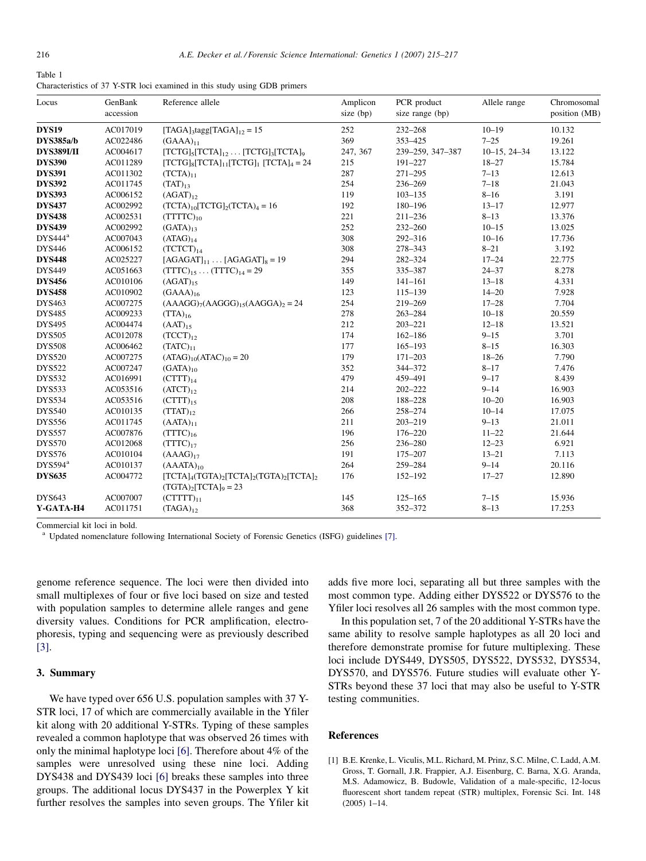<span id="page-1-0"></span>

| Table 1                                                                   |  |  |  |
|---------------------------------------------------------------------------|--|--|--|
| Characteristics of 37 Y-STR loci examined in this study using GDB primers |  |  |  |

| Locus               | GenBank<br>accession | Reference allele                                                          | Amplicon<br>size (bp) | PCR product<br>size range (bp) | Allele range   | Chromosomal<br>position (MB) |
|---------------------|----------------------|---------------------------------------------------------------------------|-----------------------|--------------------------------|----------------|------------------------------|
| DYS <sub>19</sub>   | AC017019             | $[TAGA]_3$ tagg[TAGA] <sub>12</sub> = 15                                  | 252                   | $232 - 268$                    | $10 - 19$      | 10.132                       |
| DYS385a/b           | AC022486             | $(GAAA)_{11}$                                                             | 369                   | 353-425                        | $7 - 25$       | 19.261                       |
| <b>DYS389I/II</b>   | AC004617             | $[TCTG]_{5}[TCTA]_{12} \dots [TCTG]_{3}[TCTA]_{9}$                        | 247, 367              | 239-259, 347-387               | $10-15, 24-34$ | 13.122                       |
| <b>DYS390</b>       | AC011289             | $[TCTG]_8[TCTA]_{11}[TCTG]_1[TCTA]_4 = 24$                                | 215                   | 191-227                        | $18 - 27$      | 15.784                       |
| <b>DYS391</b>       | AC011302             | $(TCTA)_{11}$                                                             | 287                   | $271 - 295$                    | $7 - 13$       | 12.613                       |
| <b>DYS392</b>       | AC011745             | $(TAT)_{13}$                                                              | 254                   | 236-269                        | $7 - 18$       | 21.043                       |
| <b>DYS393</b>       | AC006152             | $(AGAT)_{12}$                                                             | 119                   | $103 - 135$                    | $8 - 16$       | 3.191                        |
| <b>DYS437</b>       | AC002992             | $(TCTA)_{10} [TCTG]_{2} (TCTA)_{4} = 16$                                  | 192                   | 180-196                        | $13 - 17$      | 12.977                       |
| <b>DYS438</b>       | AC002531             | $(TTTTC)_{10}$                                                            | 221                   | $211 - 236$                    | $8 - 13$       | 13.376                       |
| <b>DYS439</b>       | AC002992             | $(GATA)_{13}$                                                             | 252                   | 232-260                        | $10 - 15$      | 13.025                       |
| DYS444 <sup>a</sup> | AC007043             | $(ATAG)_{14}$                                                             | 308                   | 292-316                        | $10 - 16$      | 17.736                       |
| <b>DYS446</b>       | AC006152             | $(TCTCT)_{14}$                                                            | 308                   | 278-343                        | $8 - 21$       | 3.192                        |
| <b>DYS448</b>       | AC025227             | $[AGAGAT]_{11}$ $[AGAGAT]_{8} = 19$                                       | 294                   | 282-324                        | $17 - 24$      | 22.775                       |
| <b>DYS449</b>       | AC051663             | $(TTTC)_{15} \dots (TTTC)_{14} = 29$                                      | 355                   | 335-387                        | $24 - 37$      | 8.278                        |
| <b>DYS456</b>       | AC010106             | $(AGAT)_{15}$                                                             | 149                   | $141 - 161$                    | $13 - 18$      | 4.331                        |
| <b>DYS458</b>       | AC010902             | $(GAAA)_{16}$                                                             | 123                   | $115 - 139$                    | $14 - 20$      | 7.928                        |
| <b>DYS463</b>       | AC007275             | $(AAAGG)7(AAGGG)15(AAGGA)2 = 24$                                          | 254                   | 219-269                        | $17 - 28$      | 7.704                        |
| <b>DYS485</b>       | AC009233             | $(TTA)_{16}$                                                              | 278                   | $263 - 284$                    | $10 - 18$      | 20.559                       |
| <b>DYS495</b>       | AC004474             | $(AAT)_{15}$                                                              | 212                   | $203 - 221$                    | $12 - 18$      | 13.521                       |
| <b>DYS505</b>       | AC012078             | $(TCCT)_{12}$                                                             | 174                   | $162 - 186$                    | $9 - 15$       | 3.701                        |
| <b>DYS508</b>       | AC006462             | $(TATC)_{11}$                                                             | 177                   | $165 - 193$                    | $8 - 15$       | 16.303                       |
| <b>DYS520</b>       | AC007275             | $(ATAG)_{10}(ATAC)_{10} = 20$                                             | 179                   | $171 - 203$                    | $18 - 26$      | 7.790                        |
| <b>DYS522</b>       | AC007247             | $(GATA)_{10}$                                                             | 352                   | 344-372                        | $8 - 17$       | 7.476                        |
| <b>DYS532</b>       | AC016991             | $(TTT)_{14}$                                                              | 479                   | 459-491                        | $9 - 17$       | 8.439                        |
| <b>DYS533</b>       | AC053516             | $(ATCT)_{12}$                                                             | 214                   | $202 - 222$                    | $9 - 14$       | 16.903                       |
| <b>DYS534</b>       | AC053516             | $(TTT)_{15}$                                                              | 208                   | 188-228                        | $10 - 20$      | 16.903                       |
| <b>DYS540</b>       | AC010135             | $(TTAT)_{12}$                                                             | 266                   | 258-274                        | $10 - 14$      | 17.075                       |
| <b>DYS556</b>       | AC011745             | $(AATA)_{11}$                                                             | 211                   | $203 - 219$                    | $9 - 13$       | 21.011                       |
| <b>DYS557</b>       | AC007876             | $(TTTC)_{16}$                                                             | 196                   | 176-220                        | $11 - 22$      | 21.644                       |
| <b>DYS570</b>       | AC012068             | $(TTTC)_{17}$                                                             | 256                   | 236-280                        | $12 - 23$      | 6.921                        |
| <b>DYS576</b>       | AC010104             | $(AAAG)_{17}$                                                             | 191                   | 175-207                        | $13 - 21$      | 7.113                        |
| DYS594 <sup>a</sup> | AC010137             | $(AAATA)_{10}$                                                            | 264                   | 259-284                        | $9 - 14$       | 20.116                       |
| <b>DYS635</b>       | AC004772             | $[TCTA]_4(TGTA)_2[TCTA]_2(TGTA)_2[TCTA]_2$<br>$(TGTA)_{2}[TCTA]_{9} = 23$ | 176                   | 152-192                        | $17 - 27$      | 12.890                       |
| <b>DYS643</b>       | AC007007             | $(TTTTT)_{11}$                                                            | 145                   | $125 - 165$                    | $7 - 15$       | 15.936                       |
| Y-GATA-H4           | AC011751             | $(TAGA)_{12}$                                                             | 368                   | 352-372                        | $8 - 13$       | 17.253                       |

Commercial kit loci in bold.

<sup>a</sup> Updated nomenclature following International Society of Forensic Genetics (ISFG) guidelines [\[7\]](#page-2-0).

genome reference sequence. The loci were then divided into small multiplexes of four or five loci based on size and tested with population samples to determine allele ranges and gene diversity values. Conditions for PCR amplification, electrophoresis, typing and sequencing were as previously described [\[3\]](#page-2-0).

## 3. Summary

We have typed over 656 U.S. population samples with 37 Y-STR loci, 17 of which are commercially available in the Yfiler kit along with 20 additional Y-STRs. Typing of these samples revealed a common haplotype that was observed 26 times with only the minimal haplotype loci [\[6\]](#page-2-0). Therefore about 4% of the samples were unresolved using these nine loci. Adding DYS438 and DYS439 loci [\[6\]](#page-2-0) breaks these samples into three groups. The additional locus DYS437 in the Powerplex Y kit further resolves the samples into seven groups. The Yfiler kit adds five more loci, separating all but three samples with the most common type. Adding either DYS522 or DYS576 to the Yfiler loci resolves all 26 samples with the most common type.

In this population set, 7 of the 20 additional Y-STRs have the same ability to resolve sample haplotypes as all 20 loci and therefore demonstrate promise for future multiplexing. These loci include DYS449, DYS505, DYS522, DYS532, DYS534, DYS570, and DYS576. Future studies will evaluate other Y-STRs beyond these 37 loci that may also be useful to Y-STR testing communities.

#### **References**

[1] B.E. Krenke, L. Viculis, M.L. Richard, M. Prinz, S.C. Milne, C. Ladd, A.M. Gross, T. Gornall, J.R. Frappier, A.J. Eisenburg, C. Barna, X.G. Aranda, M.S. Adamowicz, B. Budowle, Validation of a male-specific, 12-locus fluorescent short tandem repeat (STR) multiplex, Forensic Sci. Int. 148 (2005) 1–14.